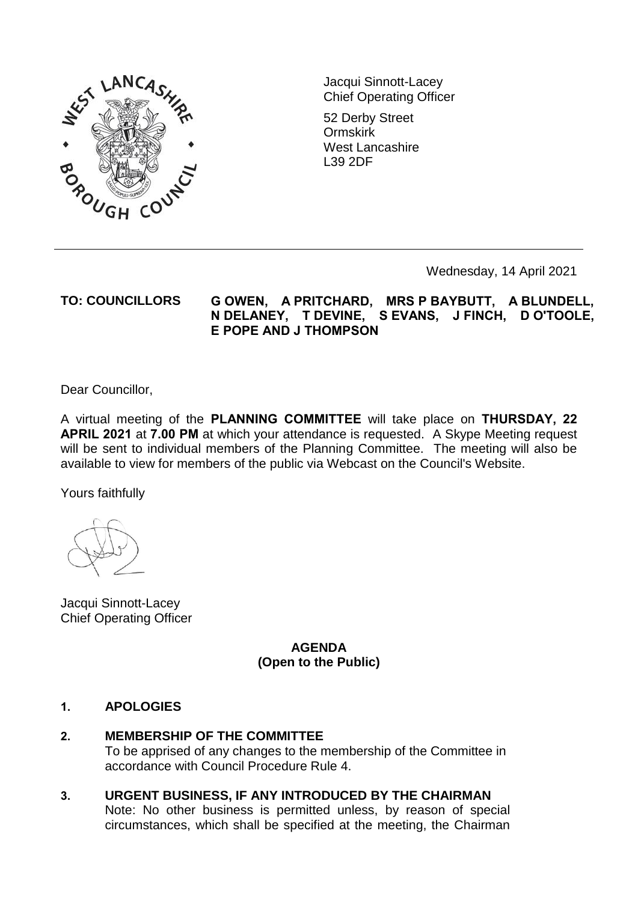

Jacqui Sinnott-Lacey Chief Operating Officer

52 Derby Street Ormskirk West Lancashire L39 2DF

Wednesday, 14 April 2021

### **TO: COUNCILLORS G OWEN, A PRITCHARD, MRS P BAYBUTT, A BLUNDELL, N DELANEY, T DEVINE, S EVANS, J FINCH, D O'TOOLE, E POPE AND J THOMPSON**

Dear Councillor,

A virtual meeting of the **PLANNING COMMITTEE** will take place on **THURSDAY, 22 APRIL 2021** at **7.00 PM** at which your attendance is requested. A Skype Meeting request will be sent to individual members of the Planning Committee. The meeting will also be available to view for members of the public via Webcast on the Council's Website.

Yours faithfully

Jacqui Sinnott-Lacey Chief Operating Officer

> **AGENDA (Open to the Public)**

#### **1. APOLOGIES**

## **2. MEMBERSHIP OF THE COMMITTEE**

To be apprised of any changes to the membership of the Committee in accordance with Council Procedure Rule 4.

**3. URGENT BUSINESS, IF ANY INTRODUCED BY THE CHAIRMAN**

Note: No other business is permitted unless, by reason of special circumstances, which shall be specified at the meeting, the Chairman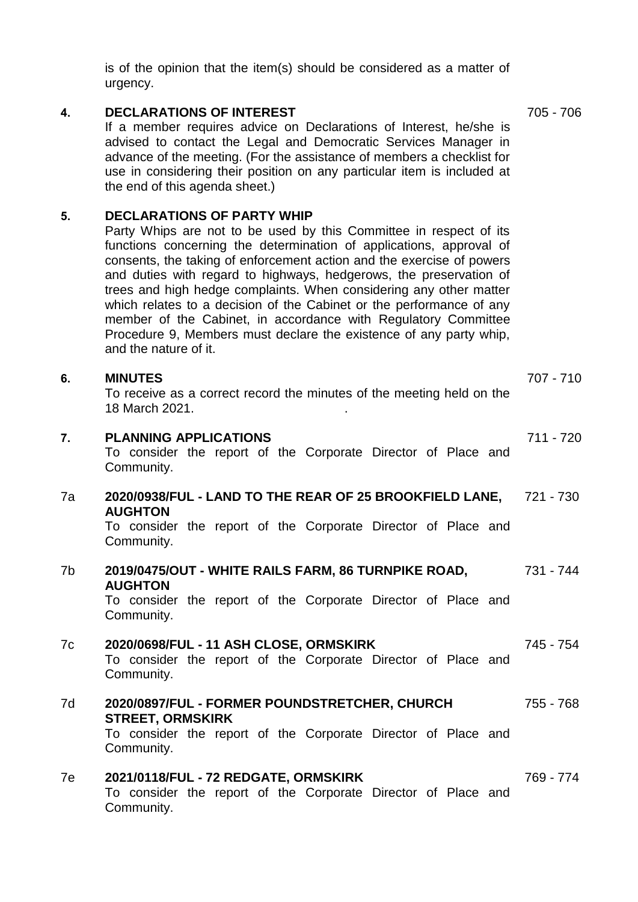is of the opinion that the item(s) should be considered as a matter of urgency. **4. DECLARATIONS OF INTEREST** If a member requires advice on Declarations of Interest, he/she is advised to contact the Legal and Democratic Services Manager in advance of the meeting. (For the assistance of members a checklist for

use in considering their position on any particular item is included at

#### **5. DECLARATIONS OF PARTY WHIP**

the end of this agenda sheet.)

Party Whips are not to be used by this Committee in respect of its functions concerning the determination of applications, approval of consents, the taking of enforcement action and the exercise of powers and duties with regard to highways, hedgerows, the preservation of trees and high hedge complaints. When considering any other matter which relates to a decision of the Cabinet or the performance of any member of the Cabinet, in accordance with Regulatory Committee Procedure 9, Members must declare the existence of any party whip, and the nature of it.

#### **6. MINUTES** To receive as a correct record the minutes of the meeting held on the 18 March 2021. . 707 - 710 **7. PLANNING APPLICATIONS** To consider the report of the Corporate Director of Place and Community. 711 - 720 7a **2020/0938/FUL - LAND TO THE REAR OF 25 BROOKFIELD LANE, AUGHTON** To consider the report of the Corporate Director of Place and Community. 721 - 730 7b **2019/0475/OUT - WHITE RAILS FARM, 86 TURNPIKE ROAD, AUGHTON** To consider the report of the Corporate Director of Place and Community. 731 - 744 7c **2020/0698/FUL - 11 ASH CLOSE, ORMSKIRK** To consider the report of the Corporate Director of Place and Community. 745 - 754 7d **2020/0897/FUL - FORMER POUNDSTRETCHER, CHURCH STREET, ORMSKIRK** To consider the report of the Corporate Director of Place and 755 - 768

Community.

## 7e **2021/0118/FUL - 72 REDGATE, ORMSKIRK**

To consider the report of the Corporate Director of Place and Community.

705 - 706

769 - 774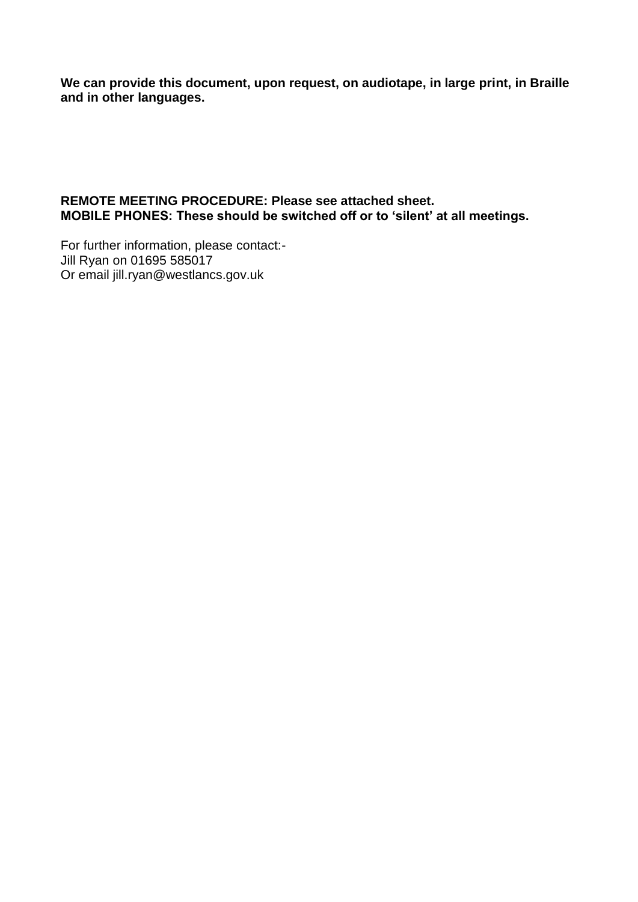**We can provide this document, upon request, on audiotape, in large print, in Braille and in other languages.** 

### **REMOTE MEETING PROCEDURE: Please see attached sheet. MOBILE PHONES: These should be switched off or to 'silent' at all meetings.**

For further information, please contact:- Jill Ryan on 01695 585017 Or email jill.ryan@westlancs.gov.uk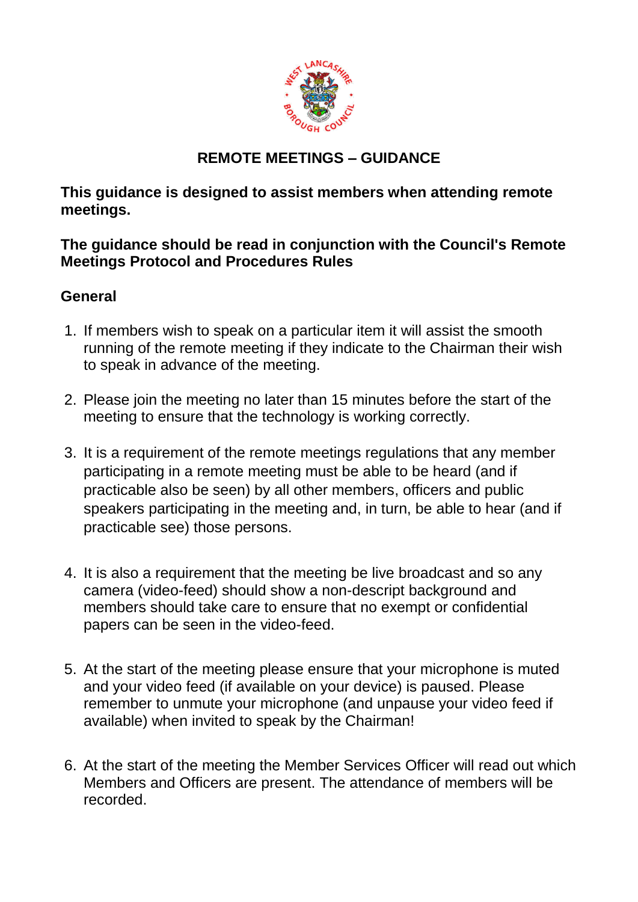

# **REMOTE MEETINGS – GUIDANCE**

**This guidance is designed to assist members when attending remote meetings.** 

**The guidance should be read in conjunction with the Council's Remote Meetings Protocol and Procedures Rules** 

# **General**

- 1. If members wish to speak on a particular item it will assist the smooth running of the remote meeting if they indicate to the Chairman their wish to speak in advance of the meeting.
- 2. Please join the meeting no later than 15 minutes before the start of the meeting to ensure that the technology is working correctly.
- 3. It is a requirement of the remote meetings regulations that any member participating in a remote meeting must be able to be heard (and if practicable also be seen) by all other members, officers and public speakers participating in the meeting and, in turn, be able to hear (and if practicable see) those persons.
- 4. It is also a requirement that the meeting be live broadcast and so any camera (video-feed) should show a non-descript background and members should take care to ensure that no exempt or confidential papers can be seen in the video-feed.
- 5. At the start of the meeting please ensure that your microphone is muted and your video feed (if available on your device) is paused. Please remember to unmute your microphone (and unpause your video feed if available) when invited to speak by the Chairman!
- 6. At the start of the meeting the Member Services Officer will read out which Members and Officers are present. The attendance of members will be recorded.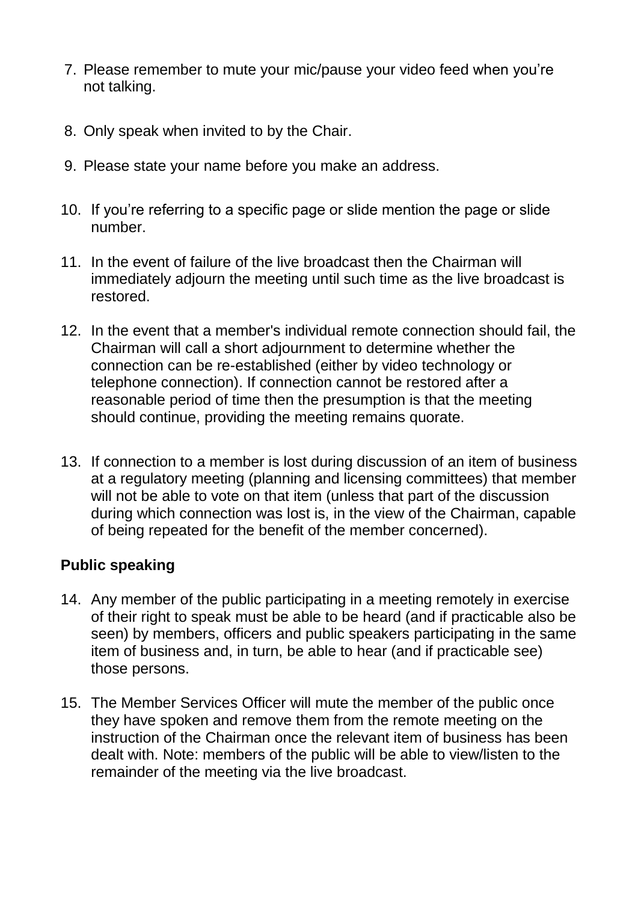- 7. Please remember to mute your mic/pause your video feed when you're not talking.
- 8. Only speak when invited to by the Chair.
- 9. Please state your name before you make an address.
- 10. If you're referring to a specific page or slide mention the page or slide number.
- 11. In the event of failure of the live broadcast then the Chairman will immediately adjourn the meeting until such time as the live broadcast is restored.
- 12. In the event that a member's individual remote connection should fail, the Chairman will call a short adjournment to determine whether the connection can be re-established (either by video technology or telephone connection). If connection cannot be restored after a reasonable period of time then the presumption is that the meeting should continue, providing the meeting remains quorate.
- 13. If connection to a member is lost during discussion of an item of business at a regulatory meeting (planning and licensing committees) that member will not be able to vote on that item (unless that part of the discussion during which connection was lost is, in the view of the Chairman, capable of being repeated for the benefit of the member concerned).

## **Public speaking**

- 14. Any member of the public participating in a meeting remotely in exercise of their right to speak must be able to be heard (and if practicable also be seen) by members, officers and public speakers participating in the same item of business and, in turn, be able to hear (and if practicable see) those persons.
- 15. The Member Services Officer will mute the member of the public once they have spoken and remove them from the remote meeting on the instruction of the Chairman once the relevant item of business has been dealt with. Note: members of the public will be able to view/listen to the remainder of the meeting via the live broadcast.